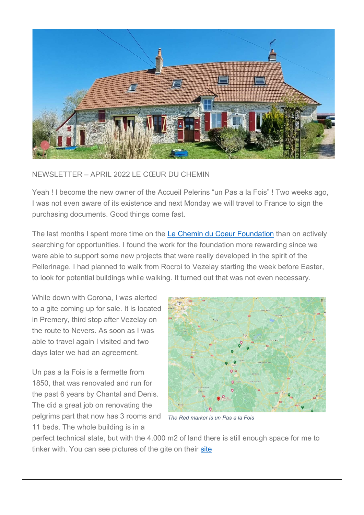

## NEWSLETTER – APRIL 2022 LE CŒUR DU CHEMIN

Yeah ! I become the new owner of the Accueil Pelerins "un Pas a la Fois" ! Two weeks ago, I was not even aware of its existence and next Monday we will travel to France to sign the purchasing documents. Good things come fast.

The last months I spent more time on the Le Chemin du Coeur Foundation than on actively searching for opportunities. I found the work for the foundation more rewarding since we were able to support some new projects that were really developed in the spirit of the Pellerinage. I had planned to walk from Rocroi to Vezelay starting the week before Easter, to look for potential buildings while walking. It turned out that was not even necessary.

While down with Corona, I was alerted to a gite coming up for sale. It is located in Premery, third stop after Vezelay on the route to Nevers. As soon as I was able to travel again I visited and two days later we had an agreement.

Un pas a la Fois is a fermette from 1850, that was renovated and run for the past 6 years by Chantal and Denis. The did a great job on renovating the pelgrims part that now has 3 rooms and 11 beds. The whole building is in a



The Red marker is un Pas a la Fois

perfect technical state, but with the 4.000 m2 of land there is still enough space for me to tinker with. You can see pictures of the gite on their site